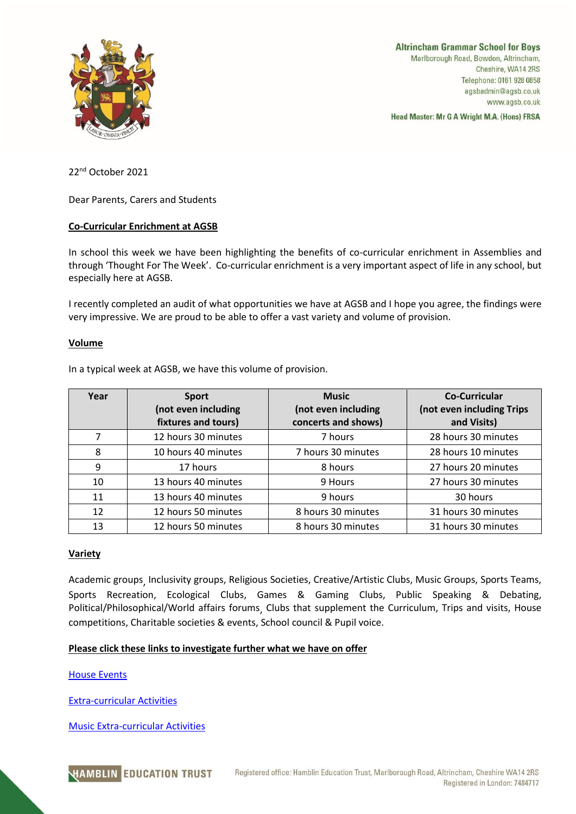

**Altrincham Grammar School for Boys** Marlborough Road, Bowdon, Altrincham, Cheshire, WA14 2RS Telephone: 0161 928 0858 agsbadmin@agsb.co.uk www.agsb.co.uk

Head Master: Mr G A Wright M.A. (Hons) FRSA

22nd October 2021

Dear Parents, Carers and Students

# **Co-Curricular Enrichment at AGSB**

In school this week we have been highlighting the benefits of co-curricular enrichment in Assemblies and through 'Thought For The Week'. Co-curricular enrichment is a very important aspect of life in any school, but especially here at AGSB.

I recently completed an audit of what opportunities we have at AGSB and I hope you agree, the findings were very impressive. We are proud to be able to offer a vast variety and volume of provision.

## **Volume**

In a typical week at AGSB, we have this volume of provision.

| Year | <b>Sport</b><br>(not even including<br>fixtures and tours) | <b>Music</b><br>(not even including<br>concerts and shows) | <b>Co-Curricular</b><br>(not even including Trips<br>and Visits) |
|------|------------------------------------------------------------|------------------------------------------------------------|------------------------------------------------------------------|
| 7    | 12 hours 30 minutes                                        | 7 hours                                                    | 28 hours 30 minutes                                              |
| 8    | 10 hours 40 minutes                                        | 7 hours 30 minutes                                         | 28 hours 10 minutes                                              |
| 9    | 17 hours                                                   | 8 hours                                                    | 27 hours 20 minutes                                              |
| 10   | 13 hours 40 minutes                                        | 9 Hours                                                    | 27 hours 30 minutes                                              |
| 11   | 13 hours 40 minutes                                        | 9 hours                                                    | 30 hours                                                         |
| 12   | 12 hours 50 minutes                                        | 8 hours 30 minutes                                         | 31 hours 30 minutes                                              |
| 13   | 12 hours 50 minutes                                        | 8 hours 30 minutes                                         | 31 hours 30 minutes                                              |

## **Variety**

Academic groups, Inclusivity groups, Religious Societies, Creative/Artistic Clubs, Music Groups, Sports Teams, Sports Recreation, Ecological Clubs, Games & Gaming Clubs, Public Speaking & Debating, Political/Philosophical/World affairs forums, Clubs that supplement the Curriculum, Trips and visits, House competitions, Charitable societies & events, School council & Pupil voice.

## **Please click these links to investigate further what we have on offer**

[House Events](https://www.agsb.co.uk/media/96719/house-events-calendar-2021-22.pdf)

[Extra-curricular Activities](https://www.agsb.co.uk/media/96718/extra-curricular-activities-sept-2021.pdf)

[Music Extra-curricular Activities](https://www.agsb.co.uk/media/96718/extra-curricular-activities-sept-2021.pdf)